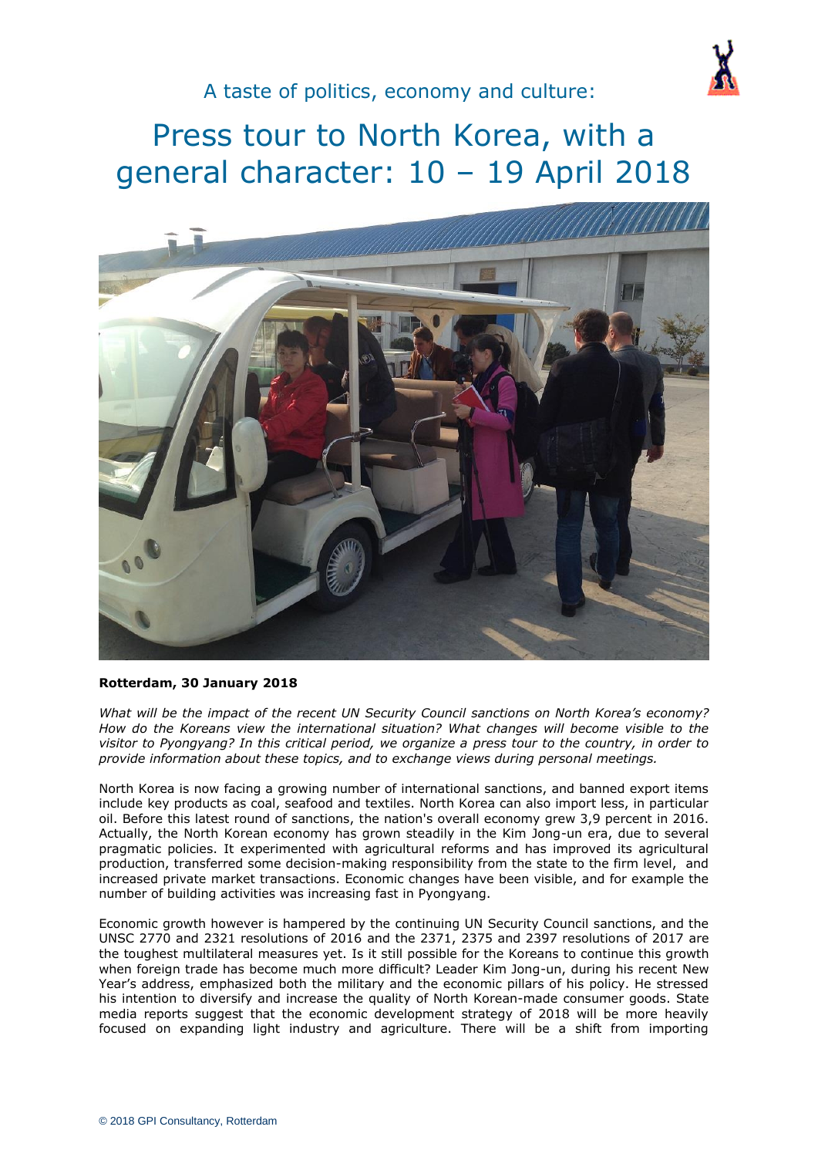

# Press tour to North Korea, with a general character: 10 – 19 April 2018



#### **Rotterdam, 30 January 2018**

*What will be the impact of the recent UN Security Council sanctions on North Korea's economy? How do the Koreans view the international situation? What changes will become visible to the visitor to Pyongyang? In this critical period, we organize a press tour to the country, in order to provide information about these topics, and to exchange views during personal meetings.*

North Korea is now facing a growing number of international sanctions, and banned export items include key products as coal, seafood and textiles. North Korea can also import less, in particular oil. Before this latest round of sanctions, the nation's overall economy grew 3,9 percent in 2016. Actually, the North Korean economy has grown steadily in the Kim Jong-un era, due to several pragmatic policies. It experimented with agricultural reforms and has improved its agricultural production, transferred some decision-making responsibility from the state to the firm level, and increased private market transactions. Economic changes have been visible, and for example the number of building activities was increasing fast in Pyongyang.

Economic growth however is hampered by the continuing UN Security Council sanctions, and the UNSC 2770 and 2321 resolutions of 2016 and the 2371, 2375 and 2397 resolutions of 2017 are the toughest multilateral measures yet. Is it still possible for the Koreans to continue this growth when foreign trade has become much more difficult? Leader Kim Jong-un, during his recent New Year's address, emphasized both the military and the economic pillars of his policy. He stressed his intention to diversify and increase the quality of North Korean-made consumer goods. State media reports suggest that the economic development strategy of 2018 will be more heavily focused on expanding light industry and agriculture. There will be a shift from importing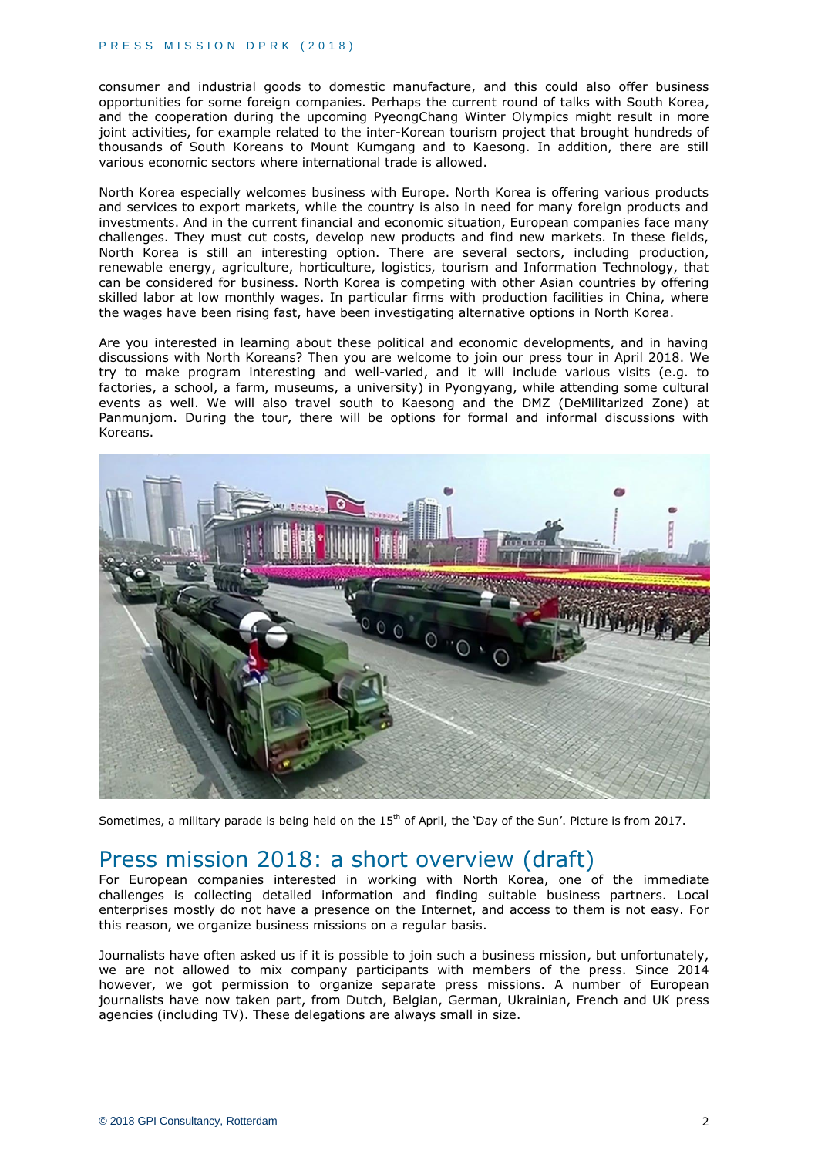consumer and industrial goods to domestic manufacture, and this could also offer business opportunities for some foreign companies. Perhaps the current round of talks with South Korea, and the cooperation during the upcoming PyeongChang Winter Olympics might result in more joint activities, for example related to the inter-Korean tourism project that brought hundreds of thousands of South Koreans to Mount Kumgang and to Kaesong. In addition, there are still various economic sectors where international trade is allowed.

North Korea especially welcomes business with Europe. North Korea is offering various products and services to export markets, while the country is also in need for many foreign products and investments. And in the current financial and economic situation, European companies face many challenges. They must cut costs, develop new products and find new markets. In these fields, North Korea is still an interesting option. There are several sectors, including production, renewable energy, agriculture, horticulture, logistics, tourism and Information Technology, that can be considered for business. North Korea is competing with other Asian countries by offering skilled labor at low monthly wages. In particular firms with production facilities in China, where the wages have been rising fast, have been investigating alternative options in North Korea.

Are you interested in learning about these political and economic developments, and in having discussions with North Koreans? Then you are welcome to join our press tour in April 2018. We try to make program interesting and well-varied, and it will include various visits (e.g. to factories, a school, a farm, museums, a university) in Pyongyang, while attending some cultural events as well. We will also travel south to Kaesong and the DMZ (DeMilitarized Zone) at Panmunjom. During the tour, there will be options for formal and informal discussions with Koreans.



Sometimes, a military parade is being held on the 15<sup>th</sup> of April, the 'Day of the Sun'. Picture is from 2017.

# Press mission 2018: a short overview (draft)

For European companies interested in working with North Korea, one of the immediate challenges is collecting detailed information and finding suitable business partners. Local enterprises mostly do not have a presence on the Internet, and access to them is not easy. For this reason, we organize business missions on a regular basis.

Journalists have often asked us if it is possible to join such a business mission, but unfortunately, we are not allowed to mix company participants with members of the press. Since 2014 however, we got permission to organize separate press missions. A number of European journalists have now taken part, from Dutch, Belgian, German, Ukrainian, French and UK press agencies (including TV). These delegations are always small in size.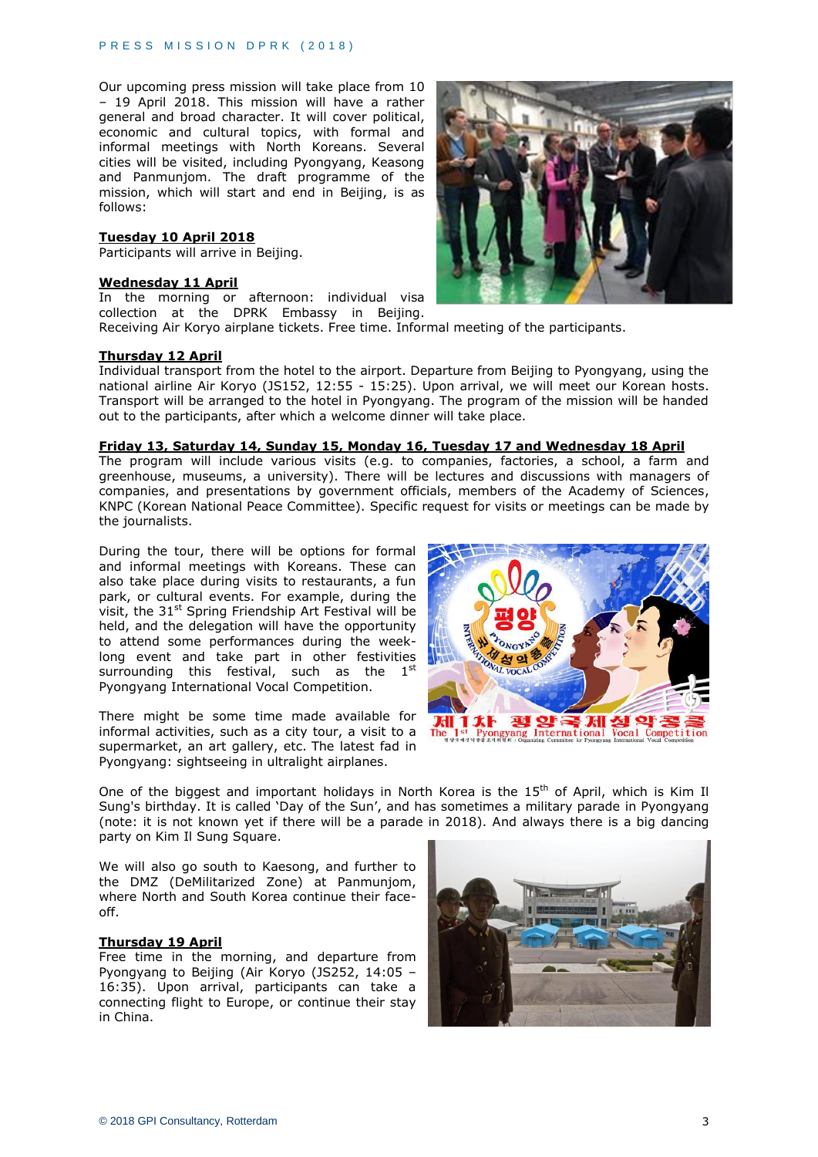Our upcoming press mission will take place from 10 – 19 April 2018. This mission will have a rather general and broad character. It will cover political, economic and cultural topics, with formal and informal meetings with North Koreans. Several cities will be visited, including Pyongyang, Keasong and Panmunjom. The draft programme of the mission, which will start and end in Beijing, is as follows:

#### **Tuesday 10 April 2018**

Participants will arrive in Beijing.

#### **Wednesday 11 April**

In the morning or afternoon: individual visa collection at the DPRK Embassy in Beijing. Receiving Air Koryo airplane tickets. Free time. Informal meeting of the participants.

#### **Thursday 12 April**

Individual transport from the hotel to the airport. Departure from Beijing to Pyongyang, using the national airline Air Koryo (JS152, 12:55 - 15:25). Upon arrival, we will meet our Korean hosts. Transport will be arranged to the hotel in Pyongyang. The program of the mission will be handed out to the participants, after which a welcome dinner will take place.

#### **Friday 13, Saturday 14, Sunday 15, Monday 16, Tuesday 17 and Wednesday 18 April**

The program will include various visits (e.g. to companies, factories, a school, a farm and greenhouse, museums, a university). There will be lectures and discussions with managers of companies, and presentations by government officials, members of the Academy of Sciences, KNPC (Korean National Peace Committee). Specific request for visits or meetings can be made by the journalists.

During the tour, there will be options for formal and informal meetings with Koreans. These can also take place during visits to restaurants, a fun park, or cultural events. For example, during the visit, the  $31<sup>st</sup>$  Spring Friendship Art Festival will be held, and the delegation will have the opportunity to attend some performances during the weeklong event and take part in other festivities surrounding this festival, such as the  $1<sup>st</sup>$ Pyongyang International Vocal Competition.

There might be some time made available for informal activities, such as a city tour, a visit to a supermarket, an art gallery, etc. The latest fad in Pyongyang: sightseeing in ultralight airplanes.



One of the biggest and important holidays in North Korea is the 15<sup>th</sup> of April, which is Kim Il Sung's birthday. It is called 'Day of the Sun', and has sometimes a military parade in Pyongyang (note: it is not known yet if there will be a parade in 2018). And always there is a big dancing party on Kim Il Sung Square.

We will also go south to Kaesong, and further to the DMZ (DeMilitarized Zone) at Panmunjom, where North and South Korea continue their faceoff.

## **Thursday 19 April**

Free time in the morning, and departure from Pyongyang to Beijing (Air Koryo (JS252, 14:05 – 16:35). Upon arrival, participants can take a connecting flight to Europe, or continue their stay in China.